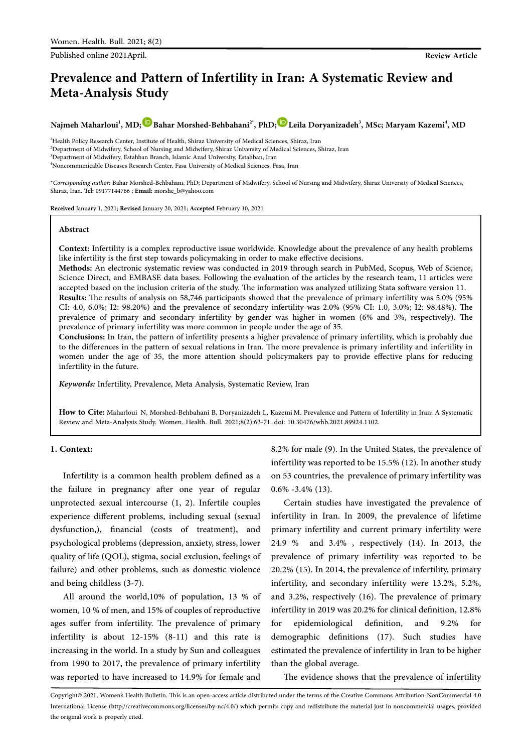Published online 2021April. **Review Article**

# **Prevalence and Pattern of Infertility in Iran: A Systematic Review and Meta-Analysis Study**

 $N$ ajmeh Maharloui<sup>1</sup>, MD; $\bullet$ [B](https://orcid.org/0000-0001-5761-022X)ahar Morshed-Behbahani<sup>2</sup>', PhD; $\bullet$ [L](https://orcid.org/0000-0002-8528-1336)eila Doryanizadeh<sup>3</sup>, MSc; Maryam Kazemi<sup>4</sup>, MD

<sup>1</sup>Health Policy Research Center, Institute of Health, Shiraz University of Medical Sciences, Shiraz, Iran Department of Midwifery, School of Nursing and Midwifery, Shiraz University of Medical Sciences, Shiraz, Iran Department of Midwifery, Estahban Branch, Islamic Azad University, Estahban, Iran Noncommunicable Diseases Research Center, Fasa University of Medical Sciences, Fasa, Iran

\**Corresponding author:* Bahar Morshed-Behbahani, PhD; Department of Midwifery, School of Nursing and Midwifery, Shiraz University of Medical Sciences, Shiraz, Iran. **Tel:** 09177144766 ; **Email:** morshe\_b@yahoo.com

**Received** January 1, 2021; **Revised** January 20, 2021; **Accepted** February 10, 2021

#### **Abstract**

**Context:** Infertility is a complex reproductive issue worldwide. Knowledge about the prevalence of any health problems like infertility is the first step towards policymaking in order to make effective decisions.

**Methods:** An electronic systematic review was conducted in 2019 through search in PubMed, Scopus, Web of Science, Science Direct, and EMBASE data bases. Following the evaluation of the articles by the research team, 11 articles were accepted based on the inclusion criteria of the study. The information was analyzed utilizing Stata software version 11. **Results:** The results of analysis on 58,746 participants showed that the prevalence of primary infertility was 5.0% (95% CI: 4.0, 6.0%; I2: 98.20%) and the prevalence of secondary infertility was 2.0% (95% CI: 1.0, 3.0%; I2: 98.48%). The prevalence of primary and secondary infertility by gender was higher in women (6% and 3%, respectively). The prevalence of primary infertility was more common in people under the age of 35.

**Conclusions:** In Iran, the pattern of infertility presents a higher prevalence of primary infertility, which is probably due to the differences in the pattern of sexual relations in Iran. The more prevalence is primary infertility and infertility in women under the age of 35, the more attention should policymakers pay to provide effective plans for reducing infertility in the future.

*Keywords:* Infertility, Prevalence, Meta Analysis, Systematic Review, Iran

How to Cite: Maharloui N, Morshed-Behbahani B, Doryanizadeh L, Kazemi M. Prevalence and Pattern of Infertility in Iran: A Systematic Review and Meta-Analysis Study. Women. Health. Bull. 2021;8(2):63-71. doi: 10.30476/whb.2021.89924.1102.

#### **1. Context:**

Infertility is a common health problem defined as a the failure in pregnancy after one year of regular unprotected sexual intercourse (1, 2). Infertile couples experience different problems, including sexual (sexual dysfunction,), financial (costs of treatment), and psychological problems (depression, anxiety, stress, lower quality of life (QOL), stigma, social exclusion, feelings of failure) and other problems, such as domestic violence and being childless (3-7).

All around the world,10% of population, 13 % of women, 10 % of men, and 15% of couples of reproductive ages suffer from infertility. The prevalence of primary infertility is about 12-15% (8-11) and this rate is increasing in the world. In a study by Sun and colleagues from 1990 to 2017, the prevalence of primary infertility was reported to have increased to 14.9% for female and

8.2% for male (9). In the United States, the prevalence of infertility was reported to be 15.5% (12). In another study on 53 countries, the prevalence of primary infertility was 0.6% -3.4% (13).

Certain studies have investigated the prevalence of infertility in Iran. In 2009, the prevalence of lifetime primary infertility and current primary infertility were 24.9 % and 3.4% , respectively (14). In 2013, the prevalence of primary infertility was reported to be 20.2% (15). In 2014, the prevalence of infertility, primary infertility, and secondary infertility were 13.2%, 5.2%, and 3.2%, respectively (16). The prevalence of primary infertility in 2019 was 20.2% for clinical definition, 12.8% for epidemiological definition, and 9.2% for demographic definitions (17). Such studies have estimated the prevalence of infertility in Iran to be higher than the global average.

The evidence shows that the prevalence of infertility

Copyright© 2021, Women's Health Bulletin. This is an open-access article distributed under the terms of the Creative Commons Attribution-NonCommercial 4.0 International License (http://creativecommons.org/licenses/by-nc/4.0/) which permits copy and redistribute the material just in noncommercial usages, provided the original work is properly cited.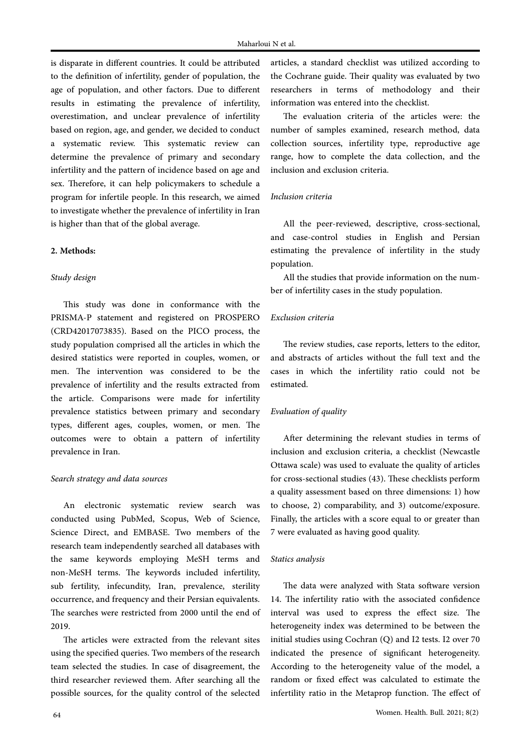is disparate in different countries. It could be attributed to the definition of infertility, gender of population, the age of population, and other factors. Due to different results in estimating the prevalence of infertility, overestimation, and unclear prevalence of infertility based on region, age, and gender, we decided to conduct a systematic review. This systematic review can determine the prevalence of primary and secondary infertility and the pattern of incidence based on age and sex. Therefore, it can help policymakers to schedule a program for infertile people. In this research, we aimed to investigate whether the prevalence of infertility in Iran is higher than that of the global average.

#### **2. Methods:**

# *Study design*

This study was done in conformance with the PRISMA-P statement and registered on PROSPERO (CRD42017073835). Based on the PICO process, the study population comprised all the articles in which the desired statistics were reported in couples, women, or men. The intervention was considered to be the prevalence of infertility and the results extracted from the article. Comparisons were made for infertility prevalence statistics between primary and secondary types, different ages, couples, women, or men. The outcomes were to obtain a pattern of infertility prevalence in Iran.

#### *Search strategy and data sources*

An electronic systematic review search was conducted using PubMed, Scopus, Web of Science, Science Direct, and EMBASE. Two members of the research team independently searched all databases with the same keywords employing MeSH terms and non-MeSH terms. The keywords included infertility, sub fertility, infecundity, Iran, prevalence, sterility occurrence, and frequency and their Persian equivalents. The searches were restricted from 2000 until the end of 2019.

The articles were extracted from the relevant sites using the specified queries. Two members of the research team selected the studies. In case of disagreement, the third researcher reviewed them. After searching all the possible sources, for the quality control of the selected

articles, a standard checklist was utilized according to the Cochrane guide. Their quality was evaluated by two researchers in terms of methodology and their information was entered into the checklist.

The evaluation criteria of the articles were: the number of samples examined, research method, data collection sources, infertility type, reproductive age range, how to complete the data collection, and the inclusion and exclusion criteria.

#### *Inclusion criteria*

All the peer-reviewed, descriptive, cross-sectional, and case-control studies in English and Persian estimating the prevalence of infertility in the study population.

All the studies that provide information on the number of infertility cases in the study population.

#### *Exclusion criteria*

The review studies, case reports, letters to the editor, and abstracts of articles without the full text and the cases in which the infertility ratio could not be estimated.

#### *Evaluation of quality*

After determining the relevant studies in terms of inclusion and exclusion criteria, a checklist (Newcastle Ottawa scale) was used to evaluate the quality of articles for cross-sectional studies (43). These checklists perform a quality assessment based on three dimensions: 1) how to choose, 2) comparability, and 3) outcome/exposure. Finally, the articles with a score equal to or greater than 7 were evaluated as having good quality.

#### *Statics analysis*

The data were analyzed with Stata software version 14. The infertility ratio with the associated confidence interval was used to express the effect size. The heterogeneity index was determined to be between the initial studies using Cochran (Q) and I2 tests. I2 over 70 indicated the presence of significant heterogeneity. According to the heterogeneity value of the model, a random or fixed effect was calculated to estimate the infertility ratio in the Metaprop function. The effect of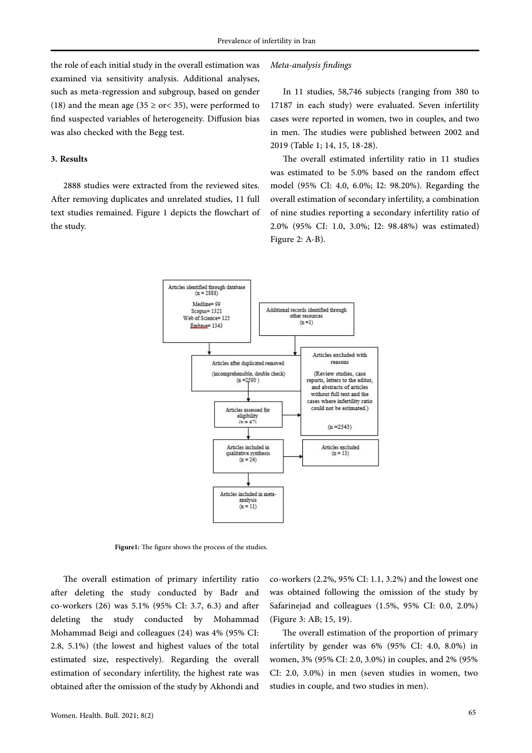the role of each initial study in the overall estimation was examined via sensitivity analysis. Additional analyses, such as meta-regression and subgroup, based on gender (18) and the mean age (35  $\ge$  or < 35), were performed to find suspected variables of heterogeneity. Diffusion bias was also checked with the Begg test.

# **3. Results**

2888 studies were extracted from the reviewed sites. After removing duplicates and unrelated studies, 11 full text studies remained. Figure 1 depicts the flowchart of the study.

# *Meta-analysis findings*

In 11 studies, 58,746 subjects (ranging from 380 to 17187 in each study) were evaluated. Seven infertility cases were reported in women, two in couples, and two in men. The studies were published between 2002 and 2019 (Table 1; 14, 15, 18-28).

The overall estimated infertility ratio in 11 studies was estimated to be 5.0% based on the random effect model (95% CI: 4.0, 6.0%; I2: 98.20%). Regarding the overall estimation of secondary infertility, a combination of nine studies reporting a secondary infertility ratio of 2.0% (95% CI: 1.0, 3.0%; I2: 98.48%) was estimated) Figure 2: A-B).



Figure1: The figure shows the process of the studies.

The overall estimation of primary infertility ratio after deleting the study conducted by Badr and co-workers (26) was 5.1% (95% CI: 3.7, 6.3) and after deleting the study conducted by Mohammad Mohammad Beigi and colleagues (24) was 4% (95% CI: 2.8, 5.1%) (the lowest and highest values of the total estimated size, respectively). Regarding the overall estimation of secondary infertility, the highest rate was obtained after the omission of the study by Akhondi and co-workers (2.2%, 95% CI: 1.1, 3.2%) and the lowest one was obtained following the omission of the study by Safarinejad and colleagues (1.5%, 95% CI: 0.0, 2.0%) (Figure 3: AB; 15, 19).

The overall estimation of the proportion of primary infertility by gender was 6% (95% CI: 4.0, 8.0%) in women, 3% (95% CI: 2.0, 3.0%) in couples, and 2% (95% CI: 2.0, 3.0%) in men (seven studies in women, two studies in couple, and two studies in men).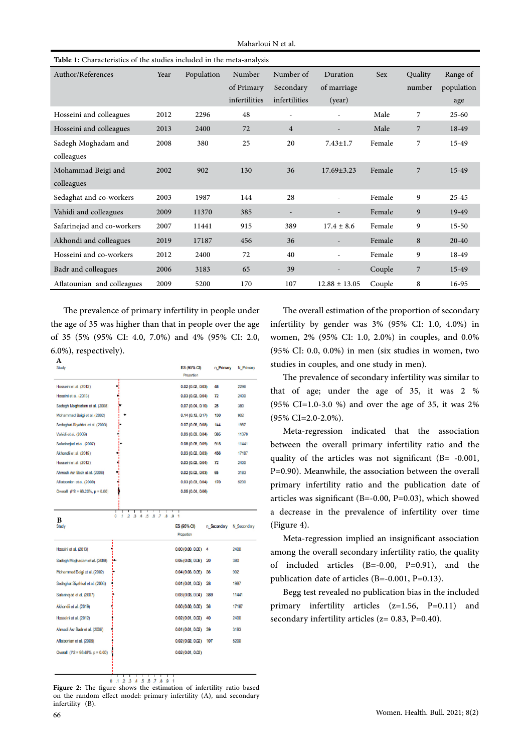| Table 1: Characteristics of the studies included in the meta-analysis |      |            |                      |                        |                          |        |                   |                        |
|-----------------------------------------------------------------------|------|------------|----------------------|------------------------|--------------------------|--------|-------------------|------------------------|
| Author/References                                                     | Year | Population | Number<br>of Primary | Number of<br>Secondary | Duration<br>of marriage  | Sex    | Quality<br>number | Range of<br>population |
|                                                                       |      |            | infertilities        | infertilities          | (year)                   |        |                   | age                    |
| Hosseini and colleagues                                               | 2012 | 2296       | 48                   |                        |                          | Male   | 7                 | $25 - 60$              |
| Hosseini and colleagues                                               | 2013 | 2400       | 72                   | $\overline{4}$         | -                        | Male   | 7                 | 18-49                  |
| Sadegh Moghadam and<br>colleagues                                     | 2008 | 380        | 25                   | 20                     | $7.43 \pm 1.7$           | Female | $\overline{7}$    | 15-49                  |
| Mohammad Beigi and<br>colleagues                                      | 2002 | 902        | 130                  | 36                     | $17.69 \pm 3.23$         | Female | 7                 | 15-49                  |
| Sedaghat and co-workers                                               | 2003 | 1987       | 144                  | 28                     |                          | Female | 9                 | $25 - 45$              |
| Vahidi and colleagues                                                 | 2009 | 11370      | 385                  |                        |                          | Female | 9                 | 19-49                  |
| Safarinejad and co-workers                                            | 2007 | 11441      | 915                  | 389                    | $17.4 \pm 8.6$           | Female | 9                 | $15 - 50$              |
| Akhondi and colleagues                                                | 2019 | 17187      | 456                  | 36                     |                          | Female | 8                 | $20 - 40$              |
| Hosseini and co-workers                                               | 2012 | 2400       | 72                   | 40                     | $\overline{\phantom{0}}$ | Female | 9                 | 18-49                  |
| Badr and colleagues                                                   | 2006 | 3183       | 65                   | 39                     |                          | Couple | $\overline{7}$    | $15-49$                |
| Aflatounian and colleagues                                            | 2009 | 5200       | 170                  | 107                    | $12.88 \pm 13.05$        | Couple | 8                 | 16-95                  |

The prevalence of primary infertility in people under the age of 35 was higher than that in people over the age of 35 (5% (95% CI: 4.0, 7.0%) and 4% (95% CI: 2.0, 6.0%), respectively).

| A<br>Study                                  |                                                  | ES (95% CI)<br>Proportion | n Primary   | N Primary   |
|---------------------------------------------|--------------------------------------------------|---------------------------|-------------|-------------|
| Hosseini et al. (2012)                      | j                                                | 0.02(0.02, 0.03)          | 48          | 2296        |
| Hoseini et al. (2013)                       |                                                  | 0.03(0.02, 0.04)          | 72          | 2400        |
| Sadegh Moghadam et al. (2008)               |                                                  | 0.07(0.04, 0.10)          | 25          | 380         |
| Mohammad Beigi et al. (2002)                |                                                  | 0.14(0.12, 0.17)          | 130         | 902         |
| Sedaghat Siyahkal et al. (2003)             |                                                  | 0.07(0.06, 0.08)          | 144         | 1987        |
| Vahidi et al. (2009)                        |                                                  | 0.03(0.03, 0.04)          | 385         | 11370       |
| Safarinejad et al. (2007)                   |                                                  | 0.08(0.08, 0.09)          | 915         | 11441       |
| Akhondii et al. (2019)                      |                                                  | 0.03(0.02, 0.03)          | 456         | 17187       |
| Hosseini et al. (2012)                      | İ                                                | 0.03(0.02, 0.04)          | 72          | 2400        |
| Ahmadi Asr Badr et al. (2006)               |                                                  | 0.02(0.02, 0.03)          | 65          | 3183        |
| Aflatoonian et al. (2009)                   |                                                  | 0.03(0.03, 0.04)          | 170         | 5200        |
| Overall (I/2 = 98.20%, p = 0.00)            |                                                  | 0.05(0.04, 0.06)          |             |             |
| В<br>Study                                  | 0<br>.3 A .5 .6 .7 .8 .9 1<br>л<br>$\mathbf{.2}$ | ES (95% CI)<br>Proportion | n Secondary | N Secondary |
| Hoseini et al. (2013)                       |                                                  | 0.00(0.00, 0.00)<br>4     |             | 2400        |
| Sadegh Moghadam et al. (2008)               |                                                  | 0.05(0.03, 0.08)<br>20    |             | 380         |
| Mohammad Beigi et al. (2002)                |                                                  | 0.04(0.03, 0.05)<br>36    |             | 902         |
| Sedaghat Siyahkal et al. (2003)             |                                                  | 0.01(0.01, 0.02)<br>28    |             | 1987        |
| Safaringjad et al. (2007)                   |                                                  | 0.03(0.03, 0.04)<br>389   |             | 11441       |
| Akhondii et al. (2019)                      |                                                  | 0.00(0.00, 0.00)<br>36    |             | 17187       |
| Hosseini et al. (2012)                      |                                                  | 0.02(0.01, 0.02)<br>40    |             | 2400        |
| Ahmadi Asr Badr et al. (2006)               |                                                  | 39<br>0.01(0.01, 0.02)    |             | 3183        |
| Aflatconian et al. (2009)                   |                                                  | 0.02(0.02, 0.02)<br>107   |             | 5200        |
| Overall (1 <sup>2</sup> = 98.48%, p = 0.00) |                                                  | 0.02(0.01, 0.03)          |             |             |
|                                             |                                                  |                           |             |             |

 $0.1234587891$ **Figure 2:** The figure shows the estimation of infertility ratio based on the random effect model: primary infertility (A), and secondary infertility (B).

The overall estimation of the proportion of secondary infertility by gender was 3% (95% CI: 1.0, 4.0%) in women, 2% (95% CI: 1.0, 2.0%) in couples, and 0.0% (95% CI: 0.0, 0.0%) in men (six studies in women, two studies in couples, and one study in men).

The prevalence of secondary infertility was similar to that of age; under the age of 35, it was 2 % (95% CI=1.0-3.0 %) and over the age of 35, it was 2% (95% CI=2.0-2.0%).

Meta-regression indicated that the association between the overall primary infertility ratio and the quality of the articles was not significant (B= -0.001, P=0.90). Meanwhile, the association between the overall primary infertility ratio and the publication date of articles was significant (B=-0.00, P=0.03), which showed a decrease in the prevalence of infertility over time (Figure 4).

Meta-regression implied an insignificant association among the overall secondary infertility ratio, the quality of included articles (B=-0.00, P=0.91), and the publication date of articles (B=-0.001, P=0.13).

Begg test revealed no publication bias in the included primary infertility articles (z=1.56, P=0.11) and secondary infertility articles ( $z= 0.83$ ,  $P=0.40$ ).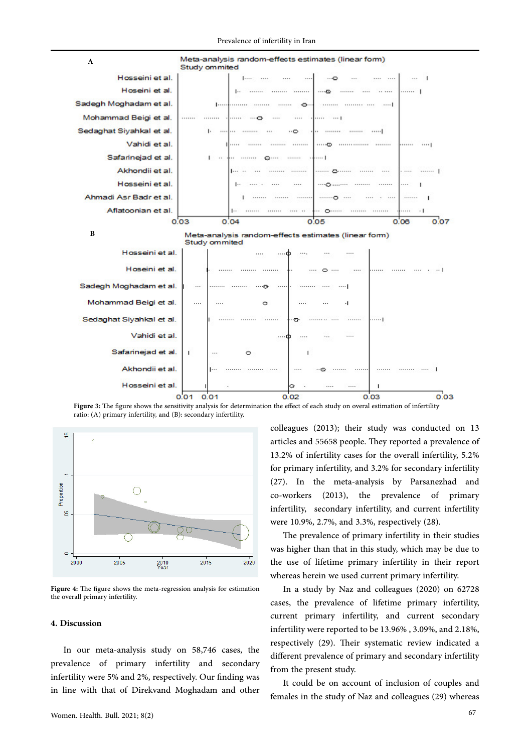

**Figure 3:** The figure shows the sensitivity analysis for determination the effect of each study on overal estimation of infertility ratio: (A) primary infertility, and (B): secondary infertility.



**Figure 4:** The figure shows the meta-regression analysis for estimation the overall primary infertility.

# **4. Discussion**

In our meta-analysis study on 58,746 cases, the prevalence of primary infertility and secondary infertility were 5% and 2%, respectively. Our finding was in line with that of Direkvand Moghadam and other colleagues (2013); their study was conducted on 13 articles and 55658 people. They reported a prevalence of 13.2% of infertility cases for the overall infertility, 5.2% for primary infertility, and 3.2% for secondary infertility (27). In the meta-analysis by Parsanezhad and co-workers (2013), the prevalence of primary infertility, secondary infertility, and current infertility were 10.9%, 2.7%, and 3.3%, respectively (28).

The prevalence of primary infertility in their studies was higher than that in this study, which may be due to the use of lifetime primary infertility in their report whereas herein we used current primary infertility.

In a study by Naz and colleagues (2020) on 62728 cases, the prevalence of lifetime primary infertility, current primary infertility, and current secondary infertility were reported to be 13.96% , 3.09%, and 2.18%, respectively (29). Their systematic review indicated a different prevalence of primary and secondary infertility from the present study.

It could be on account of inclusion of couples and females in the study of Naz and colleagues (29) whereas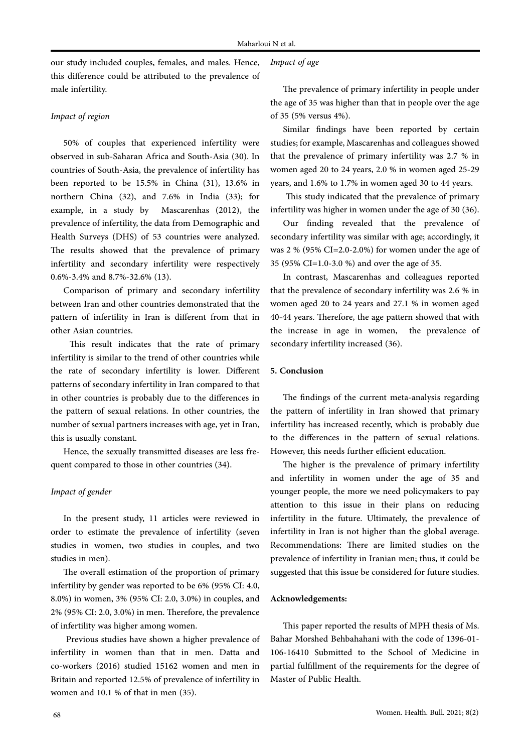our study included couples, females, and males. Hence, this difference could be attributed to the prevalence of male infertility.

# *Impact of region*

50% of couples that experienced infertility were observed in sub-Saharan Africa and South-Asia (30). In countries of South-Asia, the prevalence of infertility has been reported to be 15.5% in China (31), 13.6% in northern China (32), and 7.6% in India (33); for example, in a study by Mascarenhas (2012), the prevalence of infertility, the data from Demographic and Health Surveys (DHS) of 53 countries were analyzed. The results showed that the prevalence of primary infertility and secondary infertility were respectively 0.6%-3.4% and 8.7%-32.6% (13).

Comparison of primary and secondary infertility between Iran and other countries demonstrated that the pattern of infertility in Iran is different from that in other Asian countries.

 This result indicates that the rate of primary infertility is similar to the trend of other countries while the rate of secondary infertility is lower. Different patterns of secondary infertility in Iran compared to that in other countries is probably due to the differences in the pattern of sexual relations. In other countries, the number of sexual partners increases with age, yet in Iran, this is usually constant.

Hence, the sexually transmitted diseases are less frequent compared to those in other countries (34).

# *Impact of gender*

In the present study, 11 articles were reviewed in order to estimate the prevalence of infertility (seven studies in women, two studies in couples, and two studies in men).

The overall estimation of the proportion of primary infertility by gender was reported to be 6% (95% CI: 4.0, 8.0%) in women, 3% (95% CI: 2.0, 3.0%) in couples, and 2% (95% CI: 2.0, 3.0%) in men. Therefore, the prevalence of infertility was higher among women.

 Previous studies have shown a higher prevalence of infertility in women than that in men. Datta and co-workers (2016) studied 15162 women and men in Britain and reported 12.5% of prevalence of infertility in women and 10.1 % of that in men (35).

# *Impact of age*

The prevalence of primary infertility in people under the age of 35 was higher than that in people over the age of 35 (5% versus 4%).

Similar findings have been reported by certain studies; for example, Mascarenhas and colleagues showed that the prevalence of primary infertility was 2.7 % in women aged 20 to 24 years, 2.0 % in women aged 25-29 years, and 1.6% to 1.7% in women aged 30 to 44 years.

 This study indicated that the prevalence of primary infertility was higher in women under the age of 30 (36).

Our finding revealed that the prevalence of secondary infertility was similar with age; accordingly, it was 2 % (95% CI=2.0-2.0%) for women under the age of 35 (95% CI=1.0-3.0 %) and over the age of 35.

In contrast, Mascarenhas and colleagues reported that the prevalence of secondary infertility was 2.6 % in women aged 20 to 24 years and 27.1 % in women aged 40-44 years. Therefore, the age pattern showed that with the increase in age in women, the prevalence of secondary infertility increased (36).

### **5. Conclusion**

The findings of the current meta-analysis regarding the pattern of infertility in Iran showed that primary infertility has increased recently, which is probably due to the differences in the pattern of sexual relations. However, this needs further efficient education.

The higher is the prevalence of primary infertility and infertility in women under the age of 35 and younger people, the more we need policymakers to pay attention to this issue in their plans on reducing infertility in the future. Ultimately, the prevalence of infertility in Iran is not higher than the global average. Recommendations: There are limited studies on the prevalence of infertility in Iranian men; thus, it could be suggested that this issue be considered for future studies.

#### **Acknowledgements:**

This paper reported the results of MPH thesis of Ms. Bahar Morshed Behbahahani with the code of 1396-01- 106-16410 Submitted to the School of Medicine in partial fulfillment of the requirements for the degree of Master of Public Health.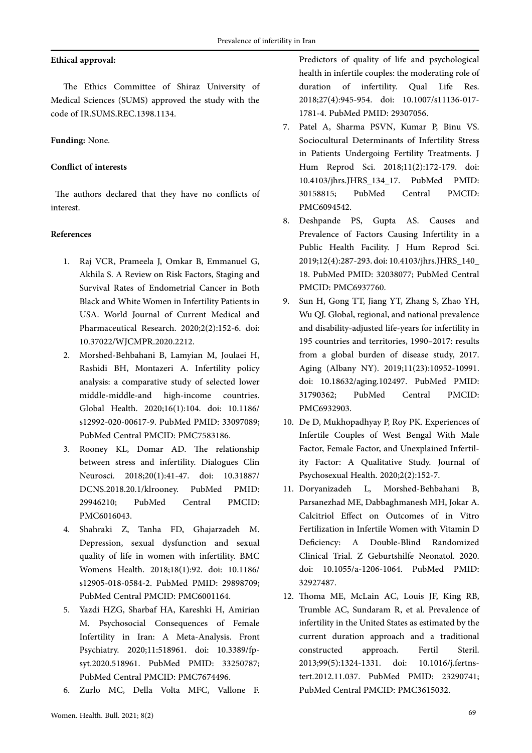# **Ethical approval:**

The Ethics Committee of Shiraz University of Medical Sciences (SUMS) approved the study with the code of IR.SUMS.REC.1398.1134.

# **Funding:** None.

# **Conflict of interests**

The authors declared that they have no conflicts of interest.

## **References**

- 1. Raj VCR, Prameela J, Omkar B, Emmanuel G, Akhila S. A Review on Risk Factors, Staging and Survival Rates of Endometrial Cancer in Both Black and White Women in Infertility Patients in USA. World Journal of Current Medical and Pharmaceutical Research. 2020;2(2):152-6. doi: 10.37022/WJCMPR.2020.2212.
- 2. Morshed-Behbahani B, Lamyian M, Joulaei H, Rashidi BH, Montazeri A. Infertility policy analysis: a comparative study of selected lower middle-middle-and high-income countries. Global Health. 2020;16(1):104. doi: 10.1186/ s12992-020-00617-9. PubMed PMID: 33097089; PubMed Central PMCID: PMC7583186.
- 3. Rooney KL, Domar AD. The relationship between stress and infertility. Dialogues Clin Neurosci. 2018;20(1):41-47. doi: 10.31887/ DCNS.2018.20.1/klrooney. PubMed PMID: 29946210; PubMed Central PMCID: PMC6016043.
- 4. Shahraki Z, Tanha FD, Ghajarzadeh M. Depression, sexual dysfunction and sexual quality of life in women with infertility. BMC Womens Health. 2018;18(1):92. doi: 10.1186/ s12905-018-0584-2. PubMed PMID: 29898709; PubMed Central PMCID: PMC6001164.
- 5. Yazdi HZG, Sharbaf HA, Kareshki H, Amirian M. Psychosocial Consequences of Female Infertility in Iran: A Meta-Analysis. Front Psychiatry. 2020;11:518961. doi: 10.3389/fpsyt.2020.518961. PubMed PMID: 33250787; PubMed Central PMCID: PMC7674496.
- 6. Zurlo MC, Della Volta MFC, Vallone F.

Predictors of quality of life and psychological health in infertile couples: the moderating role of duration of infertility. Qual Life Res. 2018;27(4):945-954. doi: 10.1007/s11136-017- 1781-4. PubMed PMID: 29307056.

- 7. Patel A, Sharma PSVN, Kumar P, Binu VS. Sociocultural Determinants of Infertility Stress in Patients Undergoing Fertility Treatments. J Hum Reprod Sci. 2018;11(2):172-179. doi: 10.4103/jhrs.JHRS\_134\_17. PubMed PMID: 30158815; PubMed Central PMCID: PMC6094542.
- 8. Deshpande PS, Gupta AS. Causes and Prevalence of Factors Causing Infertility in a Public Health Facility. J Hum Reprod Sci. 2019;12(4):287-293. doi: 10.4103/jhrs.JHRS\_140\_ 18. PubMed PMID: 32038077; PubMed Central PMCID: PMC6937760.
- 9. Sun H, Gong TT, Jiang YT, Zhang S, Zhao YH, Wu QJ. Global, regional, and national prevalence and disability-adjusted life-years for infertility in 195 countries and territories, 1990–2017: results from a global burden of disease study, 2017. Aging (Albany NY). 2019;11(23):10952-10991. doi: 10.18632/aging.102497. PubMed PMID: 31790362; PubMed Central PMCID: PMC6932903.
- 10. De D, Mukhopadhyay P, Roy PK. Experiences of Infertile Couples of West Bengal With Male Factor, Female Factor, and Unexplained Infertility Factor: A Qualitative Study. Journal of Psychosexual Health. 2020;2(2):152-7.
- 11. Doryanizadeh L, Morshed-Behbahani B, Parsanezhad ME, Dabbaghmanesh MH, Jokar A. Calcitriol Effect on Outcomes of in Vitro Fertilization in Infertile Women with Vitamin D Deficiency: A Double-Blind Randomized Clinical Trial. Z Geburtshilfe Neonatol. 2020. doi: 10.1055/a-1206-1064. PubMed PMID: 32927487.
- 12. Thoma ME, McLain AC, Louis JF, King RB, Trumble AC, Sundaram R, et al. Prevalence of infertility in the United States as estimated by the current duration approach and a traditional constructed approach. Fertil Steril. 2013;99(5):1324-1331. doi: 10.1016/j.fertnstert.2012.11.037. PubMed PMID: 23290741; PubMed Central PMCID: PMC3615032.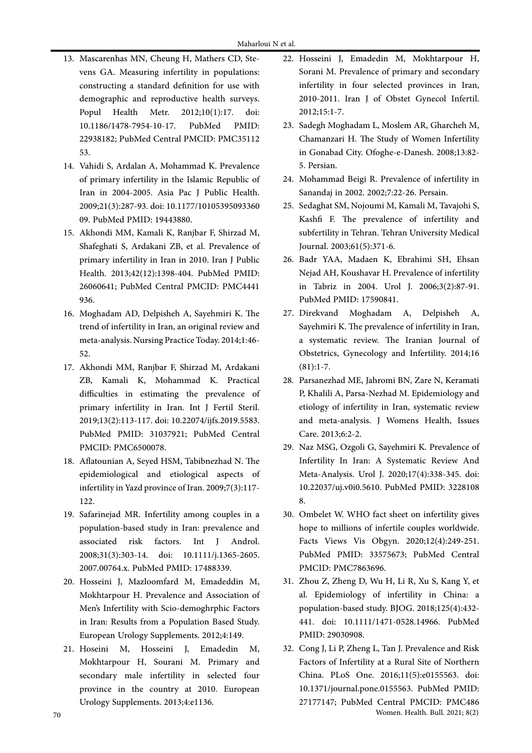- 13. Mascarenhas MN, Cheung H, Mathers CD, Stevens GA. Measuring infertility in populations: constructing a standard definition for use with demographic and reproductive health surveys.<br>Popul Health Metr. 2012;10(1):17. doi: Popul Health Metr. 2012;10(1):17. 10.1186/1478-7954-10-17. PubMed PMID: 22938182; PubMed Central PMCID: PMC35112 53.
- 14. Vahidi S, Ardalan A, Mohammad K. Prevalence of primary infertility in the Islamic Republic of Iran in 2004-2005. Asia Pac J Public Health. 2009;21(3):287-93. doi: 10.1177/10105395093360 09. PubMed PMID: 19443880.
- 15. Akhondi MM, Kamali K, Ranjbar F, Shirzad M, Shafeghati S, Ardakani ZB, et al. Prevalence of primary infertility in Iran in 2010. Iran J Public Health. 2013;42(12):1398-404. PubMed PMID: 26060641; PubMed Central PMCID: PMC4441 936.
- 16. Moghadam AD, Delpisheh A, Sayehmiri K. The trend of infertility in Iran, an original review and meta-analysis. Nursing Practice Today. 2014;1:46- 52.
- 17. Akhondi MM, Ranjbar F, Shirzad M, Ardakani ZB, Kamali K, Mohammad K. Practical difficulties in estimating the prevalence of primary infertility in Iran. Int J Fertil Steril. 2019;13(2):113-117. doi: 10.22074/ijfs.2019.5583. PubMed PMID: 31037921; PubMed Central PMCID: PMC6500078.
- 18. Aflatounian A, Seyed HSM, Tabibnezhad N. The epidemiological and etiological aspects of infertility in Yazd province of Iran. 2009;7(3):117- 122.
- 19. Safarinejad MR. Infertility among couples in a population‐based study in Iran: prevalence and associated risk factors. Int J Androl. 2008;31(3):303-14. doi: 10.1111/j.1365-2605. 2007.00764.x. PubMed PMID: 17488339.
- 20. Hosseini J, Mazloomfard M, Emadeddin M, Mokhtarpour H. Prevalence and Association of Men's Infertility with Scio-demoghrphic Factors in Iran: Results from a Population Based Study. European Urology Supplements. 2012;4:149.
- 21. Hoseini M, Hosseini J, Emadedin M, Mokhtarpour H, Sourani M. Primary and secondary male infertility in selected four province in the country at 2010. European Urology Supplements. 2013;4:e1136.
- 22. Hosseini J, Emadedin M, Mokhtarpour H, Sorani M. Prevalence of primary and secondary infertility in four selected provinces in Iran, 2010-2011. Iran J of Obstet Gynecol Infertil. 2012;15:1-7.
- 23. Sadegh Moghadam L, Moslem AR, Gharcheh M, Chamanzari H. The Study of Women Infertility in Gonabad City. Ofoghe-e-Danesh. 2008;13:82- 5. Persian.
- 24. Mohammad Beigi R. Prevalence of infertility in Sanandaj in 2002. 2002;7:22-26. Persain.
- 25. Sedaghat SM, Nojoumi M, Kamali M, Tavajohi S, Kashfi F. The prevalence of infertility and subfertility in Tehran. Tehran University Medical Journal. 2003;61(5):371-6.
- 26. Badr YAA, Madaen K, Ebrahimi SH, Ehsan Nejad AH, Koushavar H. Prevalence of infertility in Tabriz in 2004. Urol J. 2006;3(2):87-91. PubMed PMID: 17590841.
- 27. Direkvand Moghadam A, Delpisheh A, Sayehmiri K. The prevalence of infertility in Iran, a systematic review. The Iranian Journal of Obstetrics, Gynecology and Infertility. 2014;16  $(81):1-7.$
- 28. Parsanezhad ME, Jahromi BN, Zare N, Keramati P, Khalili A, Parsa-Nezhad M. Epidemiology and etiology of infertility in Iran, systematic review and meta-analysis. J Womens Health, Issues Care. 2013;6:2-2.
- 29. Naz MSG, Ozgoli G, Sayehmiri K. Prevalence of Infertility In Iran: A Systematic Review And Meta-Analysis. Urol J. 2020;17(4):338-345. doi: 10.22037/uj.v0i0.5610. PubMed PMID: 3228108 8.
- 30. Ombelet W. WHO fact sheet on infertility gives hope to millions of infertile couples worldwide. Facts Views Vis Obgyn. 2020;12(4):249-251. PubMed PMID: 33575673; PubMed Central PMCID: PMC7863696.
- 31. Zhou Z, Zheng D, Wu H, Li R, Xu S, Kang Y, et al. Epidemiology of infertility in China: a population‐based study. BJOG. 2018;125(4):432- 441. doi: 10.1111/1471-0528.14966. PubMed PMID: 29030908.
- 70 Women. Health. Bull. 2021; 8(2) 32. Cong J, Li P, Zheng L, Tan J. Prevalence and Risk Factors of Infertility at a Rural Site of Northern China. PLoS One. 2016;11(5):e0155563. doi: 10.1371/journal.pone.0155563. PubMed PMID: 27177147; PubMed Central PMCID: PMC486